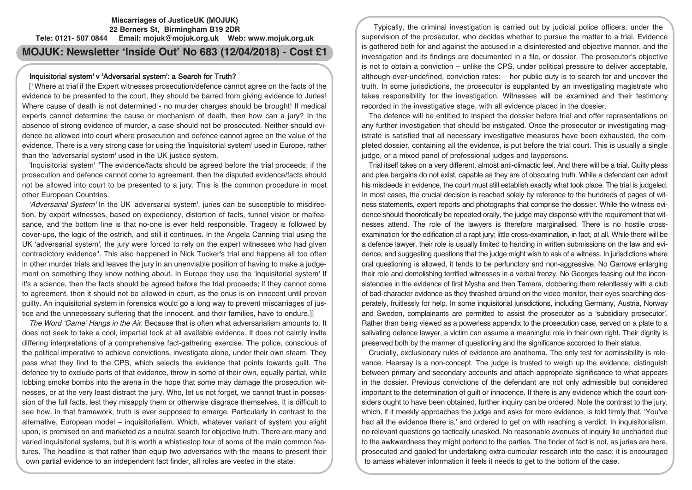# **Miscarriages of JusticeUK (MOJUK) 22 Berners St, Birmingham B19 2DR Tele: 0121- 507 0844 Email: mojuk@mojuk.org.uk Web: www.mojuk.org.uk**

# **MOJUK: Newsletter 'Inside Out' No 683 (12/04/2018) - Cost £1**

# Inquisitorial system' v 'Adversarial system': a Search for Truth?

['Where at trial if the Expert witnesses prosecution/defence cannot agree on the facts of the evidence to be presented to the court, they should be barred from giving evidence to Juries! Where cause of death is not determined - no murder charges should be brought! If medical experts cannot determine the cause or mechanism of death, then how can a jury? In the absence of strong evidence of murder, a case should not be prosecuted. Neither should evidence be allowed into court where prosecution and defence cannot agree on the value of the evidence. There is a very strong case for using the 'inquisitorial system' used in Europe, rather than the 'adversarial system' used in the UK justice system.

'Inquisitorial system' "The evidence/facts should be agreed before the trial proceeds; if the prosecution and defence cannot come to agreement, then the disputed evidence/facts should not be allowed into court to be presented to a jury. This is the common procedure in most other European Countries.

'Adversarial System' In the UK 'adversarial system', juries can be susceptible to misdirection, by expert witnesses, based on expediency, distortion of facts, tunnel vision or malfeasance, and the bottom line is that no-one is ever held responsible. Tragedy is followed by cover-ups, the logic of the ostrich, and still it continues. In the Angela Canning trial using the UK 'adversarial system', the jury were forced to rely on the expert witnesses who had given contradictory evidence". This also happened in Nick Tucker's trial and happens all too often in other murder trials and leaves the jury in an unenviable position of having to make a judgement on something they know nothing about. In Europe they use the 'inquisitorial system' If it's a science, then the facts should be agreed before the trial proceeds; if they cannot come to agreement, then it should not be allowed in court, as the onus is on innocent until proven guilty. An inquisitorial system in forensics would go a long way to prevent miscarriages of justice and the unnecessary suffering that the innocent, and their families, have to endure.]]

The Word 'Game' Hangs in the Air. Because that is often what adversarialism amounts to. It does not seek to take a cool, impartial look at all available evidence. It does not calmly invite differing interpretations of a comprehensive fact-gathering exercise. The police, conscious of the political imperative to achieve convictions, investigate alone, under their own steam. They pass what they find to the CPS, which selects the evidence that points towards guilt. The defence try to exclude parts of that evidence, throw in some of their own, equally partial, while lobbing smoke bombs into the arena in the hope that some may damage the prosecution witnesses, or at the very least distract the jury. Who, let us not forget, we cannot trust in possession of the full facts, lest they misapply them or otherwise disgrace themselves. It is difficult to see how, in that framework, truth is ever supposed to emerge. Particularly in contrast to the alternative, European model – inquisitorialism. Which, whatever variant of system you alight upon, is premised on and marketed as a neutral search for objective truth. There are many and varied inquisitorial systems, but it is worth a whistlestop tour of some of the main common features. The headline is that rather than equip two adversaries with the means to present their own partial evidence to an independent fact finder, all roles are vested in the state.

Typically, the criminal investigation is carried out by judicial police officers, under the supervision of the prosecutor, who decides whether to pursue the matter to a trial. Evidence is gathered both for and against the accused in a disinterested and objective manner, and the investigation and its findings are documented in a file, or dossier. The prosecutor's objective is not to obtain a conviction – unlike the CPS, under political pressure to deliver acceptable, although ever-undefined, conviction rates: – her public duty is to search for and uncover the truth. In some jurisdictions, the prosecutor is supplanted by an investigating magistrate who takes responsibility for the investigation. Witnesses will be examined and their testimony recorded in the investigative stage, with all evidence placed in the dossier.

The defence will be entitled to inspect the dossier before trial and offer representations on any further investigation that should be instigated. Once the prosecutor or investigating magistrate is satisfied that all necessary investigative measures have been exhausted, the completed dossier, containing all the evidence, is put before the trial court. This is usually a single judge, or a mixed panel of professional judges and laypersons.

Trial itself takes on a very different, almost anti-climactic feel. And there will be a trial. Guilty pleas and plea bargains do not exist, capable as they are of obscuring truth. While a defendant can admit his misdeeds in evidence, the court must still establish exactly what took place. The trial is judgeled. In most cases, the crucial decision is reached solely by reference to the hundreds of pages of witness statements, expert reports and photographs that comprise the dossier. While the witness evidence should theoretically be repeated orally, the judge may dispense with the requirement that witnesses attend. The role of the lawyers is therefore marginalised. There is no hostile crossexamination for the edification of a rapt jury; little cross-examination, in fact, at all. While there will be a defence lawyer, their role is usually limited to handing in written submissions on the law and evidence, and suggesting questions that the judge might wish to ask of a witness. In jurisdictions where oral questioning is allowed, it tends to be perfunctory and non-aggressive. No Garrows enlarging their role and demolishing terrified witnesses in a verbal frenzy. No Georges teasing out the inconsistencies in the evidence of first Mysha and then Tamara, clobbering them relentlessly with a club of bad-character evidence as they thrashed around on the video monitor, their eyes searching desperately, fruitlessly for help. In some inquisitorial jurisdictions, including Germany, Austria, Norway and Sweden, complainants are permitted to assist the prosecutor as a 'subsidiary prosecutor'. Rather than being viewed as a powerless appendix to the prosecution case, served on a plate to a salivating defence lawyer, a victim can assume a meaningful role in their own right. Their dignity is preserved both by the manner of questioning and the significance accorded to their status.

Crucially, exclusionary rules of evidence are anathema. The only test for admissibility is relevance. Hearsay is a non-concept. The judge is trusted to weigh up the evidence, distinguish between primary and secondary accounts and attach appropriate significance to what appears in the dossier. Previous convictions of the defendant are not only admissible but considered important to the determination of guilt or innocence. If there is any evidence which the court considers ought to have been obtained, further inquiry can be ordered. Note the contrast to the jury, which, if it meekly approaches the judge and asks for more evidence, is told firmly that, 'You've had all the evidence there is,' and ordered to get on with reaching a verdict. In inquisitorialism, no relevant questions go tactically unasked. No reasonable avenues of inquiry lie uncharted due to the awkwardness they might portend to the parties. The finder of fact is not, as juries are here, prosecuted and gaoled for undertaking extra-curricular research into the case; it is encouraged to amass whatever information it feels it needs to get to the bottom of the case.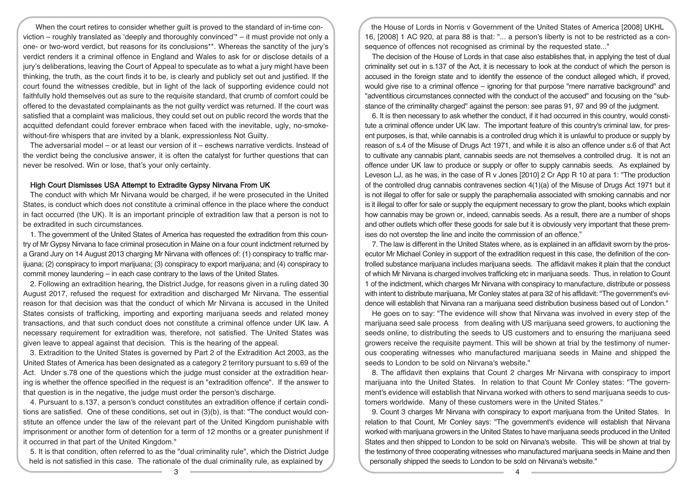When the court retires to consider whether guilt is proved to the standard of in-time conviction – roughly translated as 'deeply and thoroughly convinced'\* – it must provide not only a one- or two-word verdict, but reasons for its conclusions\*\*. Whereas the sanctity of the jury's verdict renders it a criminal offence in England and Wales to ask for or disclose details of a jury's deliberations, leaving the Court of Appeal to speculate as to what a jury might have been thinking, the truth, as the court finds it to be, is clearly and publicly set out and justified. If the court found the witnesses credible, but in light of the lack of supporting evidence could not faithfully hold themselves out as sure to the requisite standard, that crumb of comfort could be offered to the devastated complainants as the not guilty verdict was returned. If the court was satisfied that a complaint was malicious, they could set out on public record the words that the acquitted defendant could forever embrace when faced with the inevitable, ugly, no-smokewithout-fire whispers that are invited by a blank, expressionless Not Guilty.

The adversarial model – or at least our version of it – eschews narrative verdicts. Instead of the verdict being the conclusive answer, it is often the catalyst for further questions that can never be resolved. Win or lose, that's your only certainty.

## High Court Dismisses USA Attempt to Extradite Gypsy Nirvana From UK

The conduct with which Mr Nirvana would be charged, if he were prosecuted in the United States, is conduct which does not constitute a criminal offence in the place where the conduct in fact occurred (the UK). It is an important principle of extradition law that a person is not to be extradited in such circumstances.

1. The government of the United States of America has requested the extradition from this country of Mr Gypsy Nirvana to face criminal prosecution in Maine on a four count indictment returned by a Grand Jury on 14 August 2013 charging Mr Nirvana with offences of: (1) conspiracy to traffic marijuana; (2) conspiracy to import marijuana; (3) conspiracy to export marijuana; and (4) conspiracy to commit money laundering – in each case contrary to the laws of the United States.

2. Following an extradition hearing, the District Judge, for reasons given in a ruling dated 30 August 2017, refused the request for extradition and discharged Mr Nirvana. The essential reason for that decision was that the conduct of which Mr Nirvana is accused in the United States consists of trafficking, importing and exporting marijuana seeds and related money transactions, and that such conduct does not constitute a criminal offence under UK law. A necessary requirement for extradition was, therefore, not satisfied. The United States was given leave to appeal against that decision. This is the hearing of the appeal.

3. Extradition to the United States is governed by Part 2 of the Extradition Act 2003, as the United States of America has been designated as a category 2 territory pursuant to s.69 of the Act. Under s.78 one of the questions which the judge must consider at the extradition hearing is whether the offence specified in the request is an "extradition offence". If the answer to that question is in the negative, the judge must order the person's discharge.

4. Pursuant to s.137, a person's conduct constitutes an extradition offence if certain conditions are satisfied. One of these conditions, set out in (3)(b), is that: "The conduct would constitute an offence under the law of the relevant part of the United Kingdom punishable with imprisonment or another form of detention for a term of 12 months or a greater punishment if it occurred in that part of the United Kingdom."

5. It is that condition, often referred to as the "dual criminality rule", which the District Judge held is not satisfied in this case. The rationale of the dual criminality rule, as explained by

the House of Lords in Norris v Government of the United States of America [2008] UKHL 16, [2008] 1 AC 920, at para 88 is that: "... a person's liberty is not to be restricted as a consequence of offences not recognised as criminal by the requested state..."

The decision of the House of Lords in that case also establishes that, in applying the test of dual criminality set out in s.137 of the Act, it is necessary to look at the conduct of which the person is accused in the foreign state and to identify the essence of the conduct alleged which, if proved, would give rise to a criminal offence – ignoring for that purpose "mere narrative background" and "adventitious circumstances connected with the conduct of the accused" and focusing on the "substance of the criminality charged" against the person: see paras 91, 97 and 99 of the judgment.

6. It is then necessary to ask whether the conduct, if it had occurred in this country, would constitute a criminal offence under UK law. The important feature of this country's criminal law, for present purposes, is that, while cannabis is a controlled drug which it is unlawful to produce or supply by reason of s.4 of the Misuse of Drugs Act 1971, and while it is also an offence under s.6 of that Act to cultivate any cannabis plant, cannabis seeds are not themselves a controlled drug. It is not an offence under UK law to produce or supply or offer to supply cannabis seeds. As explained by Leveson LJ, as he was, in the case of R v Jones [2010] 2 Cr App R 10 at para 1: "The production of the controlled drug cannabis contravenes section 4(1)(a) of the Misuse of Drugs Act 1971 but it is not illegal to offer for sale or supply the paraphernalia associated with smoking cannabis and nor is it illegal to offer for sale or supply the equipment necessary to grow the plant, books which explain how cannabis may be grown or, indeed, cannabis seeds. As a result, there are a number of shops and other outlets which offer these goods for sale but it is obviously very important that these premises do not overstep the line and incite the commission of an offence."

7. The law is different in the United States where, as is explained in an affidavit sworn by the prosecutor Mr Michael Conley in support of the extradition request in this case, the definition of the controlled substance marijuana includes marijuana seeds. The affidavit makes it plain that the conduct of which Mr Nirvana is charged involves trafficking etc in marijuana seeds. Thus, in relation to Count 1 of the indictment, which charges Mr Nirvana with conspiracy to manufacture, distribute or possess with intent to distribute marijuana, Mr Conley states at para 32 of his affidavit: "The government's evidence will establish that Nirvana ran a marijuana seed distribution business based out of London."

He goes on to say: "The evidence will show that Nirvana was involved in every step of the marijuana seed sale process from dealing with US marijuana seed growers, to auctioning the seeds online, to distributing the seeds to US customers and to ensuring the marijuana seed growers receive the requisite payment. This will be shown at trial by the testimony of numerous cooperating witnesses who manufactured marijuana seeds in Maine and shipped the seeds to London to be sold on Nirvana's website."

8. The affidavit then explains that Count 2 charges Mr Nirvana with conspiracy to import marijuana into the United States. In relation to that Count Mr Conley states: "The government's evidence will establish that Nirvana worked with others to send marijuana seeds to customers worldwide. Many of these customers were in the United States."

9. Count 3 charges Mr Nirvana with conspiracy to export marijuana from the United States. In relation to that Count, Mr Conley says: "The government's evidence will establish that Nirvana worked with marijuana growers in the United States to have marijuana seeds produced in the United States and then shipped to London to be sold on Nirvana's website. This will be shown at trial by the testimony of three cooperating witnesses who manufactured marijuana seeds in Maine and then personally shipped the seeds to London to be sold on Nirvana's website."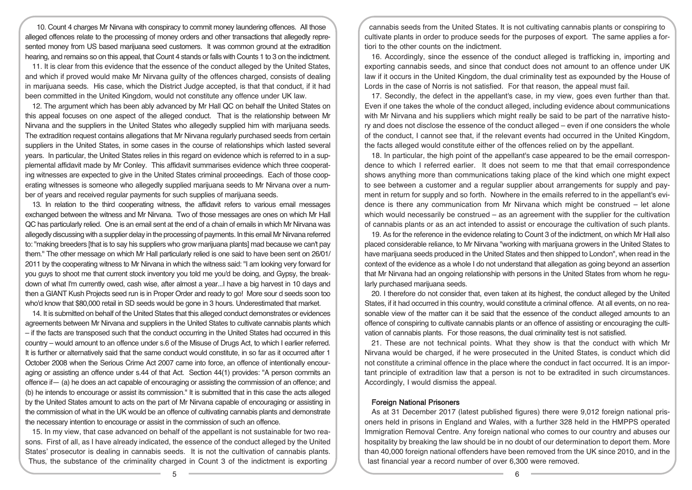10. Count 4 charges Mr Nirvana with conspiracy to commit money laundering offences. All those alleged offences relate to the processing of money orders and other transactions that allegedly represented money from US based marijuana seed customers. It was common ground at the extradition hearing, and remains so on this appeal, that Count 4 stands or falls with Counts 1 to 3 on the indictment.

11. It is clear from this evidence that the essence of the conduct alleged by the United States, and which if proved would make Mr Nirvana guilty of the offences charged, consists of dealing in marijuana seeds. His case, which the District Judge accepted, is that that conduct, if it had been committed in the United Kingdom, would not constitute any offence under UK law.

12. The argument which has been ably advanced by Mr Hall QC on behalf the United States on this appeal focuses on one aspect of the alleged conduct. That is the relationship between Mr Nirvana and the suppliers in the United States who allegedly supplied him with marijuana seeds. The extradition request contains allegations that Mr Nirvana regularly purchased seeds from certain suppliers in the United States, in some cases in the course of relationships which lasted several years. In particular, the United States relies in this regard on evidence which is referred to in a supplemental affidavit made by Mr Conley. This affidavit summarises evidence which three cooperating witnesses are expected to give in the United States criminal proceedings. Each of those cooperating witnesses is someone who allegedly supplied marijuana seeds to Mr Nirvana over a number of years and received regular payments for such supplies of marijuana seeds.

13. In relation to the third cooperating witness, the affidavit refers to various email messages exchanged between the witness and Mr Nirvana. Two of those messages are ones on which Mr Hall QC has particularly relied. One is an email sent at the end of a chain of emails in which Mr Nirvana was allegedly discussing with a supplier delay in the processing of payments. In this email Mr Nirvana referred to: "making breeders [that is to say his suppliers who grow marijuana plants] mad because we can't pay them." The other message on which Mr Hall particularly relied is one said to have been sent on 26/01/ 2011 by the cooperating witness to Mr Nirvana in which the witness said: "I am looking very forward for you guys to shoot me that current stock inventory you told me you'd be doing, and Gypsy, the breakdown of what I'm currently owed, cash wise, after almost a year...I have a big harvest in 10 days and then a GIANT Kush Projects seed run is in Proper Order and ready to go! More sour d seeds soon too who'd know that \$80,000 retail in SD seeds would be gone in 3 hours. Underestimated that market.

14. It is submitted on behalf of the United States that this alleged conduct demonstrates or evidences agreements between Mr Nirvana and suppliers in the United States to cultivate cannabis plants which – if the facts are transposed such that the conduct occurring in the United States had occurred in this country – would amount to an offence under s.6 of the Misuse of Drugs Act, to which I earlier referred. It is further or alternatively said that the same conduct would constitute, in so far as it occurred after 1 October 2008 when the Serious Crime Act 2007 came into force, an offence of intentionally encouraging or assisting an offence under s.44 of that Act. Section 44(1) provides: "A person commits an offence if— (a) he does an act capable of encouraging or assisting the commission of an offence; and (b) he intends to encourage or assist its commission." It is submitted that in this case the acts alleged by the United States amount to acts on the part of Mr Nirvana capable of encouraging or assisting in the commission of what in the UK would be an offence of cultivating cannabis plants and demonstrate the necessary intention to encourage or assist in the commission of such an offence.

15. In my view, that case advanced on behalf of the appellant is not sustainable for two reasons. First of all, as I have already indicated, the essence of the conduct alleged by the United States' prosecutor is dealing in cannabis seeds. It is not the cultivation of cannabis plants. Thus, the substance of the criminality charged in Count 3 of the indictment is exporting

cannabis seeds from the United States. It is not cultivating cannabis plants or conspiring to cultivate plants in order to produce seeds for the purposes of export. The same applies a fortiori to the other counts on the indictment.

16. Accordingly, since the essence of the conduct alleged is trafficking in, importing and exporting cannabis seeds, and since that conduct does not amount to an offence under UK law if it occurs in the United Kingdom, the dual criminality test as expounded by the House of Lords in the case of Norris is not satisfied. For that reason, the appeal must fail.

17. Secondly, the defect in the appellant's case, in my view, goes even further than that. Even if one takes the whole of the conduct alleged, including evidence about communications with Mr Nirvana and his suppliers which might really be said to be part of the narrative history and does not disclose the essence of the conduct alleged – even if one considers the whole of the conduct, I cannot see that, if the relevant events had occurred in the United Kingdom, the facts alleged would constitute either of the offences relied on by the appellant.

18. In particular, the high point of the appellant's case appeared to be the email correspondence to which I referred earlier. It does not seem to me that that email correspondence shows anything more than communications taking place of the kind which one might expect to see between a customer and a regular supplier about arrangements for supply and payment in return for supply and so forth. Nowhere in the emails referred to in the appellant's evidence is there any communication from Mr Nirvana which might be construed – let alone which would necessarily be construed – as an agreement with the supplier for the cultivation of cannabis plants or as an act intended to assist or encourage the cultivation of such plants.

19. As for the reference in the evidence relating to Count 3 of the indictment, on which Mr Hall also placed considerable reliance, to Mr Nirvana "working with marijuana growers in the United States to have marijuana seeds produced in the United States and then shipped to London", when read in the context of the evidence as a whole I do not understand that allegation as going beyond an assertion that Mr Nirvana had an ongoing relationship with persons in the United States from whom he regularly purchased marijuana seeds.

20. I therefore do not consider that, even taken at its highest, the conduct alleged by the United States, if it had occurred in this country, would constitute a criminal offence. At all events, on no reasonable view of the matter can it be said that the essence of the conduct alleged amounts to an offence of conspiring to cultivate cannabis plants or an offence of assisting or encouraging the cultivation of cannabis plants. For those reasons, the dual criminality test is not satisfied.

21. These are not technical points. What they show is that the conduct with which Mr Nirvana would be charged, if he were prosecuted in the United States, is conduct which did not constitute a criminal offence in the place where the conduct in fact occurred. It is an important principle of extradition law that a person is not to be extradited in such circumstances. Accordingly, I would dismiss the appeal.

## Foreign National Prisoners

As at 31 December 2017 (latest published figures) there were 9,012 foreign national prisoners held in prisons in England and Wales, with a further 328 held in the HMPPS operated Immigration Removal Centre. Any foreign national who comes to our country and abuses our hospitality by breaking the law should be in no doubt of our determination to deport them. More than 40,000 foreign national offenders have been removed from the UK since 2010, and in the last financial year a record number of over 6,300 were removed.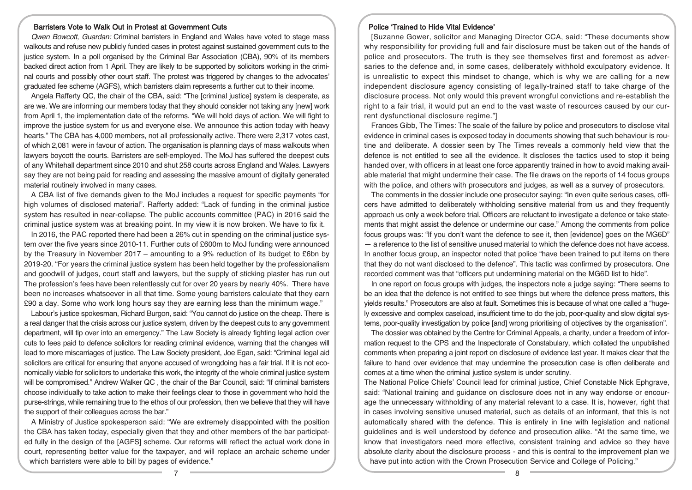# Barristers Vote to Walk Out in Protest at Government Cuts

Qwen Bowcott, Guardan: Criminal barristers in England and Wales have voted to stage mass walkouts and refuse new publicly funded cases in protest against sustained government cuts to the justice system. In a poll organised by the Criminal Bar Association (CBA), 90% of its members backed direct action from 1 April. They are likely to be supported by solicitors working in the criminal courts and possibly other court staff. The protest was triggered by changes to the advocates' graduated fee scheme (AGFS), which barristers claim represents a further cut to their income.

Angela Rafferty QC, the chair of the CBA, said: "The [criminal justice] system is desperate, as are we. We are informing our members today that they should consider not taking any [new] work from April 1, the implementation date of the reforms. "We will hold days of action. We will fight to improve the justice system for us and everyone else. We announce this action today with heavy hearts." The CBA has 4,000 members, not all professionally active. There were 2,317 votes cast, of which 2,081 were in favour of action. The organisation is planning days of mass walkouts when lawyers boycott the courts. Barristers are self-employed. The MoJ has suffered the deepest cuts of any Whitehall department since 2010 and shut 258 courts across England and Wales. Lawyers say they are not being paid for reading and assessing the massive amount of digitally generated material routinely involved in many cases.

A CBA list of five demands given to the MoJ includes a request for specific payments "for high volumes of disclosed material". Rafferty added: "Lack of funding in the criminal justice system has resulted in near-collapse. The public accounts committee (PAC) in 2016 said the criminal justice system was at breaking point. In my view it is now broken. We have to fix it.

In 2016, the PAC reported there had been a 26% cut in spending on the criminal justice system over the five years since 2010-11. Further cuts of £600m to MoJ funding were announced by the Treasury in November 2017 – amounting to a 9% reduction of its budget to £6bn by 2019-20. "For years the criminal justice system has been held together by the professionalism and goodwill of judges, court staff and lawyers, but the supply of sticking plaster has run out The profession's fees have been relentlessly cut for over 20 years by nearly 40%. There have been no increases whatsoever in all that time. Some young barristers calculate that they earn £90 a day. Some who work long hours say they are earning less than the minimum wage."

Labour's justice spokesman, Richard Burgon, said: "You cannot do justice on the cheap. There is a real danger that the crisis across our justice system, driven by the deepest cuts to any government department, will tip over into an emergency." The Law Society is already fighting legal action over cuts to fees paid to defence solicitors for reading criminal evidence, warning that the changes will lead to more miscarriages of justice. The Law Society president, Joe Egan, said: "Criminal legal aid solicitors are critical for ensuring that anyone accused of wrongdoing has a fair trial. If it is not economically viable for solicitors to undertake this work, the integrity of the whole criminal justice system will be compromised." Andrew Walker QC , the chair of the Bar Council, said: "If criminal barristers choose individually to take action to make their feelings clear to those in government who hold the purse-strings, while remaining true to the ethos of our profession, then we believe that they will have the support of their colleagues across the bar."

A Ministry of Justice spokesperson said: "We are extremely disappointed with the position the CBA has taken today, especially given that they and other members of the bar participated fully in the design of the [AGFS] scheme. Our reforms will reflect the actual work done in court, representing better value for the taxpayer, and will replace an archaic scheme under which barristers were able to bill by pages of evidence."

## Police 'Trained to Hide Vital Evidence'

[Suzanne Gower, solicitor and Managing Director CCA, said: "These documents show why responsibility for providing full and fair disclosure must be taken out of the hands of police and prosecutors. The truth is they see themselves first and foremost as adversaries to the defence and, in some cases, deliberately withhold exculpatory evidence. It is unrealistic to expect this mindset to change, which is why we are calling for a new independent disclosure agency consisting of legally-trained staff to take charge of the disclosure process. Not only would this prevent wrongful convictions and re-establish the right to a fair trial, it would put an end to the vast waste of resources caused by our current dysfunctional disclosure regime."]

Frances Gibb, The Times: The scale of the failure by police and prosecutors to disclose vital evidence in criminal cases is exposed today in documents showing that such behaviour is routine and deliberate. A dossier seen by The Times reveals a commonly held view that the defence is not entitled to see all the evidence. It discloses the tactics used to stop it being handed over, with officers in at least one force apparently trained in how to avoid making available material that might undermine their case. The file draws on the reports of 14 focus groups with the police, and others with prosecutors and judges, as well as a survey of prosecutors.

The comments in the dossier include one prosecutor saying: "In even quite serious cases, officers have admitted to deliberately withholding sensitive material from us and they frequently approach us only a week before trial. Officers are reluctant to investigate a defence or take statements that might assist the defence or undermine our case." Among the comments from police focus groups was: "If you don't want the defence to see it, then [evidence] goes on the MG6D" — a reference to the list of sensitive unused material to which the defence does not have access. In another focus group, an inspector noted that police "have been trained to put items on there that they do not want disclosed to the defence". This tactic was confirmed by prosecutors. One recorded comment was that "officers put undermining material on the MG6D list to hide".

In one report on focus groups with judges, the inspectors note a judge saying: "There seems to be an idea that the defence is not entitled to see things but where the defence press matters, this yields results." Prosecutors are also at fault. Sometimes this is because of what one called a "hugely excessive and complex caseload, insufficient time to do the job, poor-quality and slow digital systems, poor-quality investigation by police [and] wrong prioritising of objectives by the organisation".

The dossier was obtained by the Centre for Criminal Appeals, a charity, under a freedom of information request to the CPS and the Inspectorate of Constabulary, which collated the unpublished comments when preparing a joint report on disclosure of evidence last year. It makes clear that the failure to hand over evidence that may undermine the prosecution case is often deliberate and comes at a time when the criminal justice system is under scrutiny.

The National Police Chiefs' Council lead for criminal justice, Chief Constable Nick Ephgrave, said: "National training and guidance on disclosure does not in any way endorse or encourage the unnecessary withholding of any material relevant to a case. It is, however, right that in cases involving sensitive unused material, such as details of an informant, that this is not automatically shared with the defence. This is entirely in line with legislation and national guidelines and is well understood by defence and prosecution alike. "At the same time, we know that investigators need more effective, consistent training and advice so they have absolute clarity about the disclosure process - and this is central to the improvement plan we have put into action with the Crown Prosecution Service and College of Policing."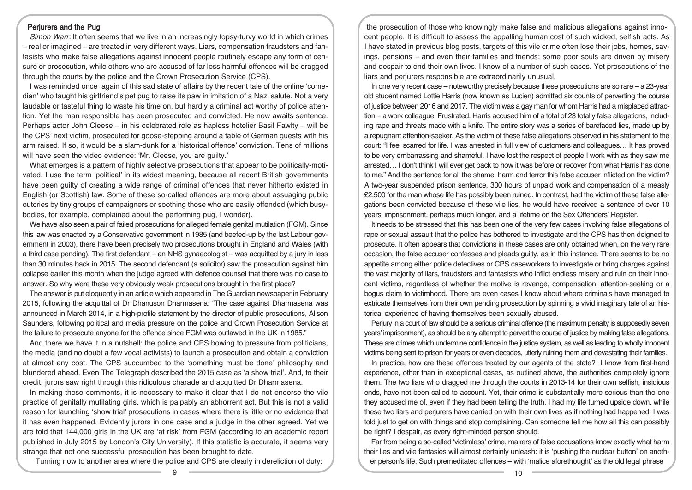# Perjurers and the Pug

Simon Warr: It often seems that we live in an increasingly topsy-turvy world in which crimes – real or imagined – are treated in very different ways. Liars, compensation fraudsters and fantasists who make false allegations against innocent people routinely escape any form of censure or prosecution, while others who are accused of far less harmful offences will be dragged through the courts by the police and the Crown Prosecution Service (CPS).

I was reminded once again of this sad state of affairs by the recent tale of the online 'comedian' who taught his girlfriend's pet pug to raise its paw in imitation of a Nazi salute. Not a very laudable or tasteful thing to waste his time on, but hardly a criminal act worthy of police attention. Yet the man responsible has been prosecuted and convicted. He now awaits sentence. Perhaps actor John Cleese – in his celebrated role as hapless hotelier Basil Fawlty – will be the CPS' next victim, prosecuted for goose-stepping around a table of German guests with his arm raised. If so, it would be a slam-dunk for a 'historical offence' conviction. Tens of millions will have seen the video evidence: 'Mr. Cleese, you are guilty.'

What emerges is a pattern of highly selective prosecutions that appear to be politically-motivated. I use the term 'political' in its widest meaning, because all recent British governments have been guilty of creating a wide range of criminal offences that never hitherto existed in English (or Scottish) law. Some of these so-called offences are more about assuaging public outcries by tiny groups of campaigners or soothing those who are easily offended (which busybodies, for example, complained about the performing pug, I wonder).

We have also seen a pair of failed prosecutions for alleged female genital mutilation (FGM). Since this law was enacted by a Conservative government in 1985 (and beefed-up by the last Labour government in 2003), there have been precisely two prosecutions brought in England and Wales (with a third case pending). The first defendant – an NHS gynaecologist – was acquitted by a jury in less than 30 minutes back in 2015. The second defendant (a solicitor) saw the prosecution against him collapse earlier this month when the judge agreed with defence counsel that there was no case to answer. So why were these very obviously weak prosecutions brought in the first place?

The answer is put eloquently in an article which appeared in The Guardian newspaper in February 2015, following the acquittal of Dr Dhanuson Dharmasena: "The case against Dharmasena was announced in March 2014, in a high-profile statement by the director of public prosecutions, Alison Saunders, following political and media pressure on the police and Crown Prosecution Service at the failure to prosecute anyone for the offence since FGM was outlawed in the UK in 1985."

And there we have it in a nutshell: the police and CPS bowing to pressure from politicians, the media (and no doubt a few vocal activists) to launch a prosecution and obtain a conviction at almost any cost. The CPS succumbed to the 'something must be done' philosophy and blundered ahead. Even The Telegraph described the 2015 case as 'a show trial'. And, to their credit, jurors saw right through this ridiculous charade and acquitted Dr Dharmasena.

In making these comments, it is necessary to make it clear that I do not endorse the vile practice of genitally mutilating girls, which is palpably an abhorrent act. But this is not a valid reason for launching 'show trial' prosecutions in cases where there is little or no evidence that it has even happened. Evidently jurors in one case and a judge in the other agreed. Yet we are told that 144,000 girls in the UK are 'at risk' from FGM (according to an academic report published in July 2015 by London's City University). If this statistic is accurate, it seems very strange that not one successful prosecution has been brought to date.

Turning now to another area where the police and CPS are clearly in dereliction of duty:

the prosecution of those who knowingly make false and malicious allegations against innocent people. It is difficult to assess the appalling human cost of such wicked, selfish acts. As I have stated in previous blog posts, targets of this vile crime often lose their jobs, homes, savings, pensions – and even their families and friends; some poor souls are driven by misery and despair to end their own lives. I know of a number of such cases. Yet prosecutions of the liars and perjurers responsible are extraordinarily unusual.

In one very recent case – noteworthy precisely because these prosecutions are so rare – a 23-year old student named Lottie Harris (now known as Lucien) admitted six counts of perverting the course of justice between 2016 and 2017. The victim was a gay man for whom Harris had a misplaced attraction – a work colleague. Frustrated, Harris accused him of a total of 23 totally false allegations, including rape and threats made with a knife. The entire story was a series of barefaced lies, made up by a repugnant attention-seeker. As the victim of these false allegations observed in his statement to the court: "I feel scarred for life. I was arrested in full view of customers and colleagues… It has proved to be very embarrassing and shameful. I have lost the respect of people I work with as they saw me arrested… I don't think I will ever get back to how it was before or recover from what Harris has done to me." And the sentence for all the shame, harm and terror this false accuser inflicted on the victim? A two-year suspended prison sentence, 300 hours of unpaid work and compensation of a measly £2,500 for the man whose life has possibly been ruined. In contrast, had the victim of these false allegations been convicted because of these vile lies, he would have received a sentence of over 10 years' imprisonment, perhaps much longer, and a lifetime on the Sex Offenders' Register.

It needs to be stressed that this has been one of the very few cases involving false allegations of rape or sexual assault that the police has bothered to investigate and the CPS has then deigned to prosecute. It often appears that convictions in these cases are only obtained when, on the very rare occasion, the false accuser confesses and pleads guilty, as in this instance. There seems to be no appetite among either police detectives or CPS caseworkers to investigate or bring charges against the vast majority of liars, fraudsters and fantasists who inflict endless misery and ruin on their innocent victims, regardless of whether the motive is revenge, compensation, attention-seeking or a bogus claim to victimhood. There are even cases I know about where criminals have managed to extricate themselves from their own pending prosecution by spinning a vivid imaginary tale of an historical experience of having themselves been sexually abused.

Perjury in a court of law should be a serious criminal offence (the maximum penalty is supposedly seven years' imprisonment), as should be any attempt to pervert the course of justice by making false allegations. These are crimes which undermine confidence in the justice system, as well as leading to wholly innocent victims being sent to prison for years or even decades, utterly ruining them and devastating their families.

In practice, how are these offences treated by our agents of the state? I know from first-hand experience, other than in exceptional cases, as outlined above, the authorities completely ignore them. The two liars who dragged me through the courts in 2013-14 for their own selfish, insidious ends, have not been called to account. Yet, their crime is substantially more serious than the one they accused me of, even if they had been telling the truth. I had my life turned upside down, while these two liars and perjurers have carried on with their own lives as if nothing had happened. I was told just to get on with things and stop complaining. Can someone tell me how all this can possibly be right? I despair, as every right-minded person should.

Far from being a so-called 'victimless' crime, makers of false accusations know exactly what harm their lies and vile fantasies will almost certainly unleash: it is 'pushing the nuclear button' on another person's life. Such premeditated offences – with 'malice aforethought' as the old legal phrase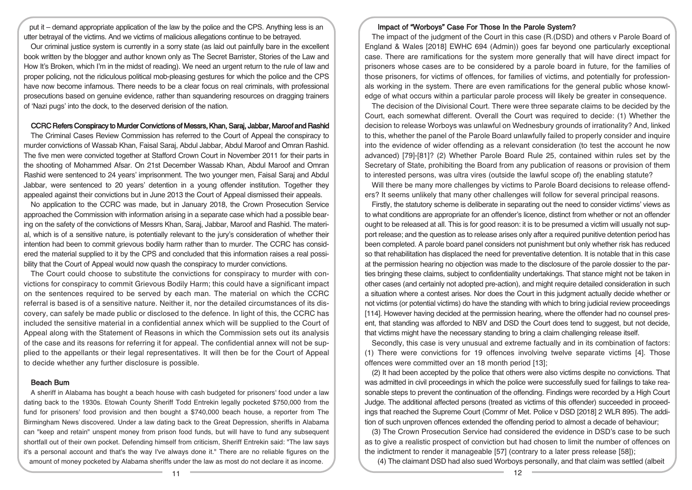put it – demand appropriate application of the law by the police and the CPS. Anything less is an utter betrayal of the victims. And we victims of malicious allegations continue to be betrayed.

Our criminal justice system is currently in a sorry state (as laid out painfully bare in the excellent book written by the blogger and author known only as The Secret Barrister, Stories of the Law and How It's Broken, which I'm in the midst of reading). We need an urgent return to the rule of law and proper policing, not the ridiculous political mob-pleasing gestures for which the police and the CPS have now become infamous. There needs to be a clear focus on real criminals, with professional prosecutions based on genuine evidence, rather than squandering resources on dragging trainers of 'Nazi pugs' into the dock, to the deserved derision of the nation.

#### CCRC Refers Conspiracy to Murder Convictions of Messrs, Khan, Saraj, Jabbar, Maroof and Rashid

The Criminal Cases Review Commission has referred to the Court of Appeal the conspiracy to murder convictions of Wassab Khan, Faisal Saraj, Abdul Jabbar, Abdul Maroof and Omran Rashid. The five men were convicted together at Stafford Crown Court in November 2011 for their parts in the shooting of Mohammed Afsar. On 21st December Wassab Khan, Abdul Maroof and Omran Rashid were sentenced to 24 years' imprisonment. The two younger men, Faisal Saraj and Abdul Jabbar, were sentenced to 20 years' detention in a young offender institution. Together they appealed against their convictions but in June 2013 the Court of Appeal dismissed their appeals.

No application to the CCRC was made, but in January 2018, the Crown Prosecution Service approached the Commission with information arising in a separate case which had a possible bearing on the safety of the convictions of Messrs Khan, Saraj, Jabbar, Maroof and Rashid. The material, which is of a sensitive nature, is potentially relevant to the jury's consideration of whether their intention had been to commit grievous bodily harm rather than to murder. The CCRC has considered the material supplied to it by the CPS and concluded that this information raises a real possibility that the Court of Appeal would now quash the conspiracy to murder convictions.

The Court could choose to substitute the convictions for conspiracy to murder with convictions for conspiracy to commit Grievous Bodily Harm; this could have a significant impact on the sentences required to be served by each man. The material on which the CCRC referral is based is of a sensitive nature. Neither it, nor the detailed circumstances of its discovery, can safely be made public or disclosed to the defence. In light of this, the CCRC has included the sensitive material in a confidential annex which will be supplied to the Court of Appeal along with the Statement of Reasons in which the Commission sets out its analysis of the case and its reasons for referring it for appeal. The confidential annex will not be supplied to the appellants or their legal representatives. It will then be for the Court of Appeal to decide whether any further disclosure is possible.

#### Beach Bum

A sheriff in Alabama has bought a beach house with cash budgeted for prisoners' food under a law dating back to the 1930s. Etowah County Sheriff Todd Entrekin legally pocketed \$750,000 from the fund for prisoners' food provision and then bought a \$740,000 beach house, a reporter from The Birmingham News discovered. Under a law dating back to the Great Depression, sheriffs in Alabama can "keep and retain" unspent money from prison food funds, but will have to fund any subsequent shortfall out of their own pocket. Defending himself from criticism, Sheriff Entrekin said: "The law says it's a personal account and that's the way I've always done it." There are no reliable figures on the amount of money pocketed by Alabama sheriffs under the law as most do not declare it as income.

## Impact of "Worboys" Case For Those In the Parole System?

The impact of the judgment of the Court in this case (R.(DSD) and others v Parole Board of England & Wales [2018] EWHC 694 (Admin)) goes far beyond one particularly exceptional case. There are ramifications for the system more generally that will have direct impact for prisoners whose cases are to be considered by a parole board in future, for the families of those prisoners, for victims of offences, for families of victims, and potentially for professionals working in the system. There are even ramifications for the general public whose knowledge of what occurs within a particular parole process will likely be greater in consequence.

The decision of the Divisional Court. There were three separate claims to be decided by the Court, each somewhat different. Overall the Court was required to decide: (1) Whether the decision to release Worboys was unlawful on Wednesbury grounds of irrationality? And, linked to this, whether the panel of the Parole Board unlawfully failed to properly consider and inquire into the evidence of wider offending as a relevant consideration (to test the account he now advanced) [79]-[81]? (2) Whether Parole Board Rule 25, contained within rules set by the Secretary of State, prohibiting the Board from any publication of reasons or provision of them to interested persons, was ultra vires (outside the lawful scope of) the enabling statute?

Will there be many more challenges by victims to Parole Board decisions to release offenders? It seems unlikely that many other challenges will follow for several principal reasons.

Firstly, the statutory scheme is deliberate in separating out the need to consider victims' views as to what conditions are appropriate for an offender's licence, distinct from whether or not an offender ought to be released at all. This is for good reason: it is to be presumed a victim will usually not support release; and the question as to release arises only after a required punitive detention period has been completed. A parole board panel considers not punishment but only whether risk has reduced so that rehabilitation has displaced the need for preventative detention. It is notable that in this case at the permission hearing no objection was made to the disclosure of the parole dossier to the parties bringing these claims, subject to confidentiality undertakings. That stance might not be taken in other cases (and certainly not adopted pre-action), and might require detailed consideration in such a situation where a contest arises. Nor does the Court in this judgment actually decide whether or not victims (or potential victims) do have the standing with which to bring judicial review proceedings [114]. However having decided at the permission hearing, where the offender had no counsel present, that standing was afforded to NBV and DSD the Court does tend to suggest, but not decide, that victims might have the necessary standing to bring a claim challenging release itself.

Secondly, this case is very unusual and extreme factually and in its combination of factors: (1) There were convictions for 19 offences involving twelve separate victims [4]. Those offences were committed over an 18 month period [13];

(2) It had been accepted by the police that others were also victims despite no convictions. That was admitted in civil proceedings in which the police were successfully sued for failings to take reasonable steps to prevent the continuation of the offending. Findings were recorded by a High Court Judge. The additional affected persons (treated as victims of this offender) succeeded in proceedings that reached the Supreme Court (Commr of Met. Police v DSD [2018] 2 WLR 895). The addition of such unproven offences extended the offending period to almost a decade of behaviour;

(3) The Crown Prosecution Service had considered the evidence in DSD's case to be such as to give a realistic prospect of conviction but had chosen to limit the number of offences on the indictment to render it manageable [57] (contrary to a later press release [58]);

(4) The claimant DSD had also sued Worboys personally, and that claim was settled (albeit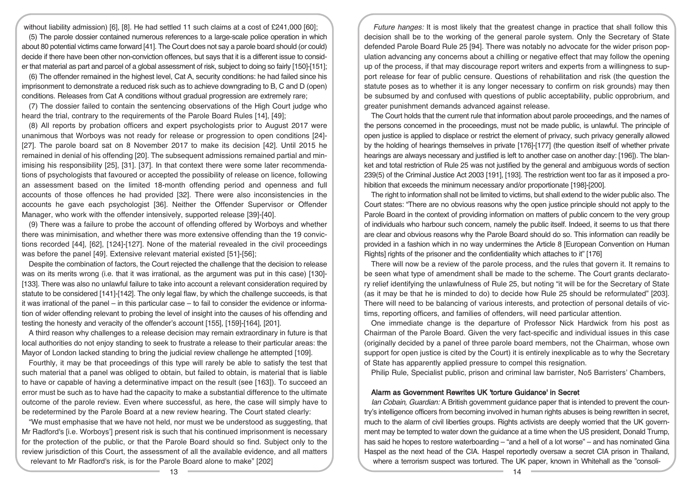without liability admission) [6], [8]. He had settled 11 such claims at a cost of £241,000 [60]; (5) The parole dossier contained numerous references to a large-scale police operation in which about 80 potential victims came forward [41]. The Court does not say a parole board should (or could) decide if there have been other non-conviction offences, but says that it is a different issue to consider that material as part and parcel of a global assessment of risk, subject to doing so fairly [150]-[151];

(6) The offender remained in the highest level, Cat A, security conditions: he had failed since his imprisonment to demonstrate a reduced risk such as to achieve downgrading to B, C and D (open) conditions. Releases from Cat A conditions without gradual progression are extremely rare;

(7) The dossier failed to contain the sentencing observations of the High Court judge who heard the trial, contrary to the requirements of the Parole Board Rules [14], [49];

(8) All reports by probation officers and expert psychologists prior to August 2017 were unanimous that Worboys was not ready for release or progression to open conditions [24]- [27]. The parole board sat on 8 November 2017 to make its decision [42]. Until 2015 he remained in denial of his offending [20]. The subsequent admissions remained partial and minimising his responsibility [25], [31]. [37]. In that context there were some later recommendations of psychologists that favoured or accepted the possibility of release on licence, following an assessment based on the limited 18-month offending period and openness and full accounts of those offences he had provided [32]. There were also inconsistencies in the accounts he gave each psychologist [36]. Neither the Offender Supervisor or Offender Manager, who work with the offender intensively, supported release [39]-[40].

(9) There was a failure to probe the account of offending offered by Worboys and whether there was minimisation, and whether there was more extensive offending than the 19 convictions recorded [44], [62], [124]-[127]. None of the material revealed in the civil proceedings was before the panel [49]. Extensive relevant material existed [51]-[56];

Despite the combination of factors, the Court rejected the challenge that the decision to release was on its merits wrong (i.e. that it was irrational, as the argument was put in this case) [130]- [133]. There was also no unlawful failure to take into account a relevant consideration required by statute to be considered [141]-[142]. The only legal flaw, by which the challenge succeeds, is that it was irrational of the panel – in this particular case – to fail to consider the evidence or information of wider offending relevant to probing the level of insight into the causes of his offending and testing the honesty and veracity of the offender's account [155], [159]-[164], [201].

A third reason why challenges to a release decision may remain extraordinary in future is that local authorities do not enjoy standing to seek to frustrate a release to their particular areas: the Mayor of London lacked standing to bring the judicial review challenge he attempted [109].

Fourthly, it may be that proceedings of this type will rarely be able to satisfy the test that such material that a panel was obliged to obtain, but failed to obtain, is material that is liable to have or capable of having a determinative impact on the result (see [163]). To succeed an error must be such as to have had the capacity to make a substantial difference to the ultimate outcome of the parole review. Even where successful, as here, the case will simply have to be redetermined by the Parole Board at a new review hearing. The Court stated clearly:

"We must emphasise that we have not held, nor must we be understood as suggesting, that Mr Radford's [i.e. Worboys'] present risk is such that his continued imprisonment is necessary for the protection of the public, or that the Parole Board should so find. Subject only to the review jurisdiction of this Court, the assessment of all the available evidence, and all matters relevant to Mr Radford's risk, is for the Parole Board alone to make" [202]

Future hanges: It is most likely that the greatest change in practice that shall follow this decision shall be to the working of the general parole system. Only the Secretary of State defended Parole Board Rule 25 [94]. There was notably no advocate for the wider prison population advancing any concerns about a chilling or negative effect that may follow the opening up of the process, if that may discourage report writers and experts from a willingness to support release for fear of public censure. Questions of rehabilitation and risk (the question the statute poses as to whether it is any longer necessary to confirm on risk grounds) may then be subsumed by and confused with questions of public acceptability, public opprobrium, and greater punishment demands advanced against release.

The Court holds that the current rule that information about parole proceedings, and the names of the persons concerned in the proceedings, must not be made public, is unlawful. The principle of open justice is applied to displace or restrict the element of privacy, such privacy generally allowed by the holding of hearings themselves in private [176]-[177] (the question itself of whether private hearings are always necessary and justified is left to another case on another day: [196]). The blanket and total restriction of Rule 25 was not justified by the general and ambiguous words of section 239(5) of the Criminal Justice Act 2003 [191], [193]. The restriction went too far as it imposed a prohibition that exceeds the minimum necessary and/or proportionate [198]-[200].

The right to information shall not be limited to victims, but shall extend to the wider public also. The Court states: "There are no obvious reasons why the open justice principle should not apply to the Parole Board in the context of providing information on matters of public concern to the very group of individuals who harbour such concern, namely the public itself. Indeed, it seems to us that there are clear and obvious reasons why the Parole Board should do so. This information can readily be provided in a fashion which in no way undermines the Article 8 [European Convention on Human Rights] rights of the prisoner and the confidentiality which attaches to it" [176]

There will now be a review of the parole process, and the rules that govern it. It remains to be seen what type of amendment shall be made to the scheme. The Court grants declaratory relief identifying the unlawfulness of Rule 25, but noting "it will be for the Secretary of State (as it may be that he is minded to do) to decide how Rule 25 should be reformulated" [203]. There will need to be balancing of various interests, and protection of personal details of victims, reporting officers, and families of offenders, will need particular attention.

One immediate change is the departure of Professor Nick Hardwick from his post as Chairman of the Parole Board. Given the very fact-specific and individual issues in this case (originally decided by a panel of three parole board members, not the Chairman, whose own support for open justice is cited by the Court) it is entirely inexplicable as to why the Secretary of State has apparently applied pressure to compel this resignation.

Philip Rule, Specialist public, prison and criminal law barrister, No5 Barristers' Chambers,

## Alarm as Government Rewrites UK 'torture Guidance' in Secret

Ian Cobain, Guardian: A British government guidance paper that is intended to prevent the country's intelligence officers from becoming involved in human rights abuses is being rewritten in secret, much to the alarm of civil liberties groups. Rights activists are deeply worried that the UK government may be tempted to water down the guidance at a time when the US president, Donald Trump, has said he hopes to restore waterboarding – "and a hell of a lot worse" – and has nominated Gina Haspel as the next head of the CIA. Haspel reportedly oversaw a secret CIA prison in Thailand, where a terrorism suspect was tortured. The UK paper, known in Whitehall as the "consoli-